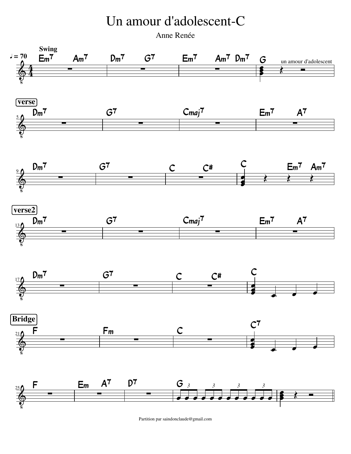## Un amour d'adolescent-C

Anne Renée



Partition par saindonclaude@gmail.com